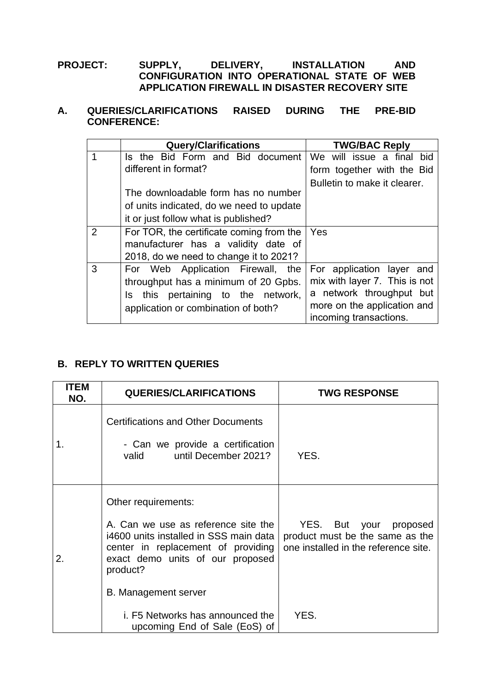## **PROJECT: SUPPLY, DELIVERY, INSTALLATION AND CONFIGURATION INTO OPERATIONAL STATE OF WEB APPLICATION FIREWALL IN DISASTER RECOVERY SITE**

## **A. QUERIES/CLARIFICATIONS RAISED DURING THE PRE-BID CONFERENCE:**

|                | <b>Query/Clarifications</b>              | <b>TWG/BAC Reply</b>          |
|----------------|------------------------------------------|-------------------------------|
|                | Is the Bid Form and Bid document         | We will issue a final bid     |
|                | different in format?                     | form together with the Bid    |
|                |                                          | Bulletin to make it clearer.  |
|                | The downloadable form has no number      |                               |
|                | of units indicated, do we need to update |                               |
|                | it or just follow what is published?     |                               |
| $\overline{2}$ | For TOR, the certificate coming from the | Yes                           |
|                | manufacturer has a validity date of      |                               |
|                | 2018, do we need to change it to 2021?   |                               |
| 3              | For Web Application Firewall,<br>the     | For application layer and     |
|                | throughput has a minimum of 20 Gpbs.     | mix with layer 7. This is not |
|                | Is this pertaining to the network,       | a network throughput but      |
|                | application or combination of both?      | more on the application and   |
|                |                                          | incoming transactions.        |

## **B. REPLY TO WRITTEN QUERIES**

| <b>ITEM</b><br>NO. | <b>QUERIES/CLARIFICATIONS</b>                                                                                                                                                              | <b>TWG RESPONSE</b>                                                                               |
|--------------------|--------------------------------------------------------------------------------------------------------------------------------------------------------------------------------------------|---------------------------------------------------------------------------------------------------|
| 1.                 | <b>Certifications and Other Documents</b><br>- Can we provide a certification<br>until December 2021?<br>valid                                                                             | YES.                                                                                              |
| 2.                 | Other requirements:<br>A. Can we use as reference site the<br>i4600 units installed in SSS main data<br>center in replacement of providing<br>exact demo units of our proposed<br>product? | YES. But your proposed<br>product must be the same as the<br>one installed in the reference site. |
|                    | <b>B. Management server</b>                                                                                                                                                                |                                                                                                   |
|                    | i. F5 Networks has announced the<br>upcoming End of Sale (EoS) of                                                                                                                          | YES.                                                                                              |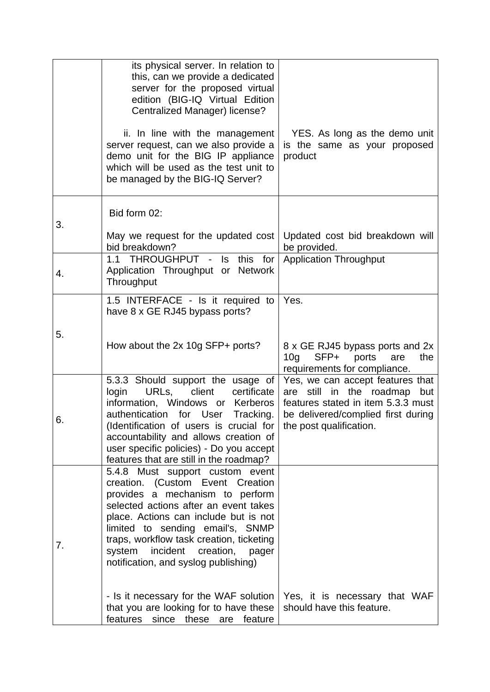|    | its physical server. In relation to<br>this, can we provide a dedicated<br>server for the proposed virtual<br>edition (BIG-IQ Virtual Edition<br>Centralized Manager) license?<br>ii. In line with the management<br>server request, can we also provide a<br>demo unit for the BIG IP appliance<br>which will be used as the test unit to<br>be managed by the BIG-IQ Server? | YES. As long as the demo unit<br>is the same as your proposed<br>product                                                                  |
|----|--------------------------------------------------------------------------------------------------------------------------------------------------------------------------------------------------------------------------------------------------------------------------------------------------------------------------------------------------------------------------------|-------------------------------------------------------------------------------------------------------------------------------------------|
| 3. | Bid form 02:                                                                                                                                                                                                                                                                                                                                                                   |                                                                                                                                           |
|    | May we request for the updated cost<br>bid breakdown?                                                                                                                                                                                                                                                                                                                          | Updated cost bid breakdown will<br>be provided.                                                                                           |
| 4. | 1.1 THROUGHPUT -<br>Is this<br>for<br>Application Throughput or Network<br>Throughput                                                                                                                                                                                                                                                                                          | <b>Application Throughput</b>                                                                                                             |
|    | 1.5 INTERFACE - Is it required to<br>have 8 x GE RJ45 bypass ports?                                                                                                                                                                                                                                                                                                            | Yes.                                                                                                                                      |
| 5. | How about the 2x 10g SFP+ ports?                                                                                                                                                                                                                                                                                                                                               | 8 x GE RJ45 bypass ports and 2x<br>10 <sub>g</sub><br>SFP+<br>ports<br>the<br>are<br>requirements for compliance.                         |
| 6. | 5.3.3 Should support the usage of   Yes, we can accept features that<br>URLs,<br>client<br>certificate<br>login<br>information, Windows or Kerberos<br>authentication<br>for User<br>Tracking.<br>(Identification of users is crucial for  <br>accountability and allows creation of<br>user specific policies) - Do you accept<br>features that are still in the roadmap?     | still in the roadmap<br>are<br>but<br>features stated in item 5.3.3 must<br>be delivered/complied first during<br>the post qualification. |
| 7. | 5.4.8 Must support custom event<br>creation. (Custom Event Creation<br>provides a mechanism to perform<br>selected actions after an event takes<br>place. Actions can include but is not<br>limited to sending email's, SNMP<br>traps, workflow task creation, ticketing<br>system incident creation,<br>pager<br>notification, and syslog publishing)                         |                                                                                                                                           |
|    | - Is it necessary for the WAF solution   Yes, it is necessary that WAF<br>that you are looking for to have these<br>features since these are<br>feature                                                                                                                                                                                                                        | should have this feature.                                                                                                                 |